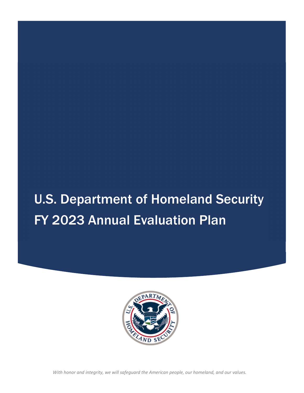# U.S. Department of Homeland Security FY 2023 Annual Evaluation Plan



With honor and integrity, we will safeguard the American people, our homeland, and our values.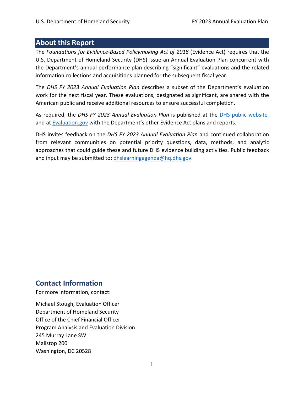## <span id="page-1-0"></span> **About this Report**

 The *Foundations for Evidence‐Based Policymaking Act of 2018* (Evidence Act) requires that the U.S. Department of Homeland Security (DHS) issue an Annual Evaluation Plan concurrent with the Department's annual performance plan describing "significant" evaluations and the related information collections and acquisitions planned for the subsequent fiscal year.

 The *DHS FY 2023 Annual Evaluation Plan* describes a subset ofthe Department's evaluation work for the next fiscal year. These evaluations, designated as significant, are shared with the American public and receive additional resources to ensure successful completion.

   As required, the *DHS FY 2023 Annual Evaluation Plan* is published at the DHS public website and at [Evaluation.gov](https://Evaluation.gov) with the Department's other Evidence Act plans and reports.

  DHS invites feedback on the *DHS FY 2023 Annual Evaluation Plan* and continued collaboration from relevant communities on potential priority questions, data, methods, and analytic approaches that could guide these and future DHS evidence building activities. Public feedback and input may be submitted to: [dhslearningagenda@hq.dhs.gov](mailto:dhslearningagenda@hq.dhs.gov).

## **Contact Information**

For more information, contact:

 Michael Stough, Evaluation Officer Department of Homeland Security Office of the Chief Financial Officer Program Analysis and Evaluation Division 245 Murray Lane SW Mailstop 200 Washington, DC 20528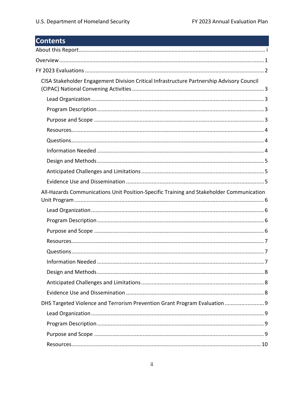## **Contents**

| CISA Stakeholder Engagement Division Critical Infrastructure Partnership Advisory Council |
|-------------------------------------------------------------------------------------------|
|                                                                                           |
|                                                                                           |
|                                                                                           |
|                                                                                           |
|                                                                                           |
|                                                                                           |
|                                                                                           |
|                                                                                           |
|                                                                                           |
| All-Hazards Communications Unit Position-Specific Training and Stakeholder Communication  |
|                                                                                           |
|                                                                                           |
|                                                                                           |
|                                                                                           |
|                                                                                           |
|                                                                                           |
|                                                                                           |
|                                                                                           |
|                                                                                           |
| DHS Targeted Violence and Terrorism Prevention Grant Program Evaluation  9                |
|                                                                                           |
|                                                                                           |
|                                                                                           |
|                                                                                           |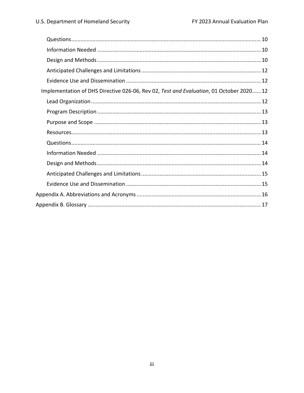| Implementation of DHS Directive 026-06, Rev 02, Test and Evaluation, 01 October 202012 |
|----------------------------------------------------------------------------------------|
|                                                                                        |
|                                                                                        |
|                                                                                        |
|                                                                                        |
|                                                                                        |
|                                                                                        |
|                                                                                        |
|                                                                                        |
|                                                                                        |
|                                                                                        |
|                                                                                        |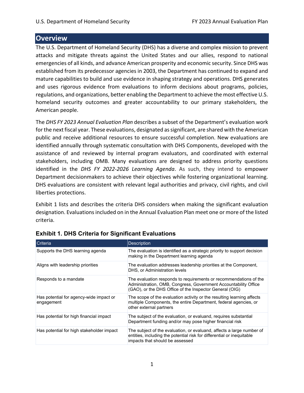### **Overview**

 The U.S. Department of Homeland Security (DHS) has a diverse and complex mission to prevent attacks and mitigate threats against the United States and our allies, respond to national emergencies of all kinds, and advance American prosperity and economic security. Since DHS was established from its predecessor agencies in 2003, the Department has continued to expand and mature capabilities to build and use evidence in shaping strategy and operations. DHS generates and uses rigorous evidence from evaluations to inform decisions about programs, policies, regulations, and organizations, better enabling the Department to achieve the most effective U.S. homeland security outcomes and greater accountability to our primary stakeholders, the American people.

 The *DHS FY 2023 Annual Evaluation Plan* describes a subset of the Department's evaluation work for the next fiscal year. These evaluations, designated as significant, are shared with the American public and receive additional resources to ensure successful completion. New evaluations are identified annually through systematic consultation with DHS Components, developed with the assistance of and reviewed by internal program evaluators, and coordinated with external stakeholders, including OMB. Many evaluations are designed to address priority questions  identified in the *DHS FY 2022‐2026 Learning Agenda*. As such, they intend to empower Department decisionmakers to achieve their objectives while fostering organizational learning. DHS evaluations are consistent with relevant legal authorities and privacy, civil rights, and civil liberties protections.

 Exhibit 1 lists and describes the criteria DHS considers when making the significant evaluation designation. Evaluations included on in the Annual Evaluation Plan meet one or more of the listed criteria.

| Criteria                                              | <b>Description</b>                                                                                                                                                                              |
|-------------------------------------------------------|-------------------------------------------------------------------------------------------------------------------------------------------------------------------------------------------------|
| Supports the DHS learning agenda                      | The evaluation is identified as a strategic priority to support decision<br>making in the Department learning agenda                                                                            |
| Aligns with leadership priorities                     | The evaluation addresses leadership priorities at the Component,<br>DHS, or Administration levels                                                                                               |
| Responds to a mandate                                 | The evaluation responds to requirements or recommendations of the<br>Administration, OMB, Congress, Government Accountability Office<br>(GAO), or the DHS Office of the Inspector General (OIG) |
| Has potential for agency-wide impact or<br>engagement | The scope of the evaluation activity or the resulting learning affects<br>multiple Components, the entire Department, federal agencies, or<br>other external partners                           |
| Has potential for high financial impact               | The subject of the evaluation, or evaluand, requires substantial<br>Department funding and/or may pose higher financial risk                                                                    |
| Has potential for high stakeholder impact             | The subject of the evaluation, or evaluand, affects a large number of<br>entities, including the potential risk for differential or inequitable<br>impacts that should be assessed              |

#### **Exhibit 1. DHS Criteria for Significant Evaluations**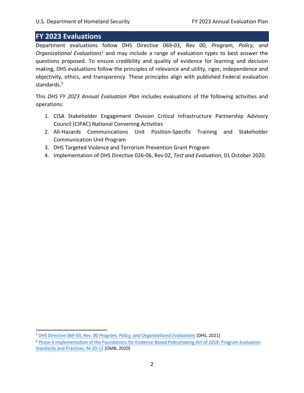## <span id="page-5-0"></span> **FY 2023 Evaluations**

  Department evaluations follow DHS Directive 069‐03, Rev 00, *Program, Policy, and Organizational Evaluations*<sup>1</sup> and may include a range of evaluation types to best answer the questions proposed. To ensure credibility and quality of evidence for learning and decision making, DHS evaluations follow the principles of relevance and utility, rigor, independence and objectivity, ethics, and transparency. These principles align with published Federal evaluation standards.<sup>2</sup>

 This *DHS FY 2023 Annual Evaluation Plan* includes evaluations of the following activities and operations:

- 1. CISA Stakeholder Engagement Division Critical Infrastructure Partnership Advisory Council (CIPAC) National Convening Activities
- 2. All-Hazards Communications Unit Position-Specific Training and Stakeholder Communication Unit Program
- 3. DHS Targeted Violence and Terrorism Prevention Grant Program
- 4. Implementation of DHS Directive 026‐06, Rev 02, *Test and Evaluation*, 01 October 2020.

 <sup>1</sup> DHS Directive 069-03, Rev. 00 *[Program, Policy, and Organizational Evaluations](https://www.dhs.gov/publication/knowledge-creation-and-management)* (DHS, 2021)

<sup>&</sup>lt;sup>2</sup> Phase 4 Implementation of the Foundations for Evidence-Based Policymaking Act of 2018: Program Evaluation Standards and Practices, M-20-12 (OMB, 2020)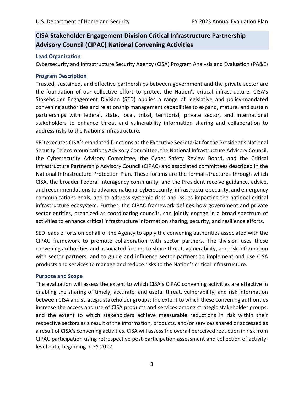## <span id="page-6-0"></span> **CISA Stakeholder Engagement Division Critical Infrastructure Partnership Advisory Council (CIPAC) National Convening Activities**

#### **Lead Organization**

Cybersecurity and Infrastructure Security Agency (CISA) Program Analysis and Evaluation (PA&E)

#### **Program Description**

 Trusted, sustained, and effective partnerships between government and the private sector are the foundation of our collective effort to protect the Nation's critical infrastructure. CISA's Stakeholder Engagement Division (SED) applies a range of legislative and policy‐mandated convening authorities and relationship management capabilities to expand, mature, and sustain partnerships with federal, state, local, tribal, territorial, private sector, and international stakeholders to enhance threat and vulnerability information sharing and collaboration to address risks to the Nation's infrastructure.

 SED executes CISA's mandated functions asthe Executive Secretariat for the President's National Security Telecommunications Advisory Committee, the National Infrastructure Advisory Council, the Cybersecurity Advisory Committee, the Cyber Safety Review Board, and the Critical Infrastructure Partnership Advisory Council (CIPAC) and associated committees described in the National Infrastructure Protection Plan. These forums are the formal structures through which CISA, the broader Federal interagency community, and the President receive guidance, advice, and recommendations to advance national cybersecurity, infrastructure security, and emergency communications goals, and to address systemic risks and issues impacting the national critical infrastructure ecosystem. Further, the CIPAC framework defines how government and private sector entities, organized as coordinating councils, can jointly engage in a broad spectrum of activities to enhance critical infrastructure information sharing, security, and resilience efforts.

 SED leads efforts on behalf of the Agency to apply the convening authorities associated with the CIPAC framework to promote collaboration with sector partners. The division uses these convening authorities and associated forums to share threat, vulnerability, and risk information with sector partners, and to guide and influence sector partners to implement and use CISA products and services to manage and reduce risks to the Nation's critical infrastructure.

#### **Purpose and Scope**

 The evaluation will assess the extent to which CISA's CIPAC convening activities are effective in enabling the sharing of timely, accurate, and useful threat, vulnerability, and risk information between CISA and strategic stakeholder groups; the extent to which these convening authorities increase the access and use of CISA products and services among strategic stakeholder groups; and the extent to which stakeholders achieve measurable reductions in risk within their respective sectors as a result of the information, products, and/or services shared or accessed as a result of CISA's convening activities. CISA will assessthe overall perceived reduction in risk from CIPAC participation using retrospective post‐participation assessment and collection of activity‐ level data, beginning in FY 2022.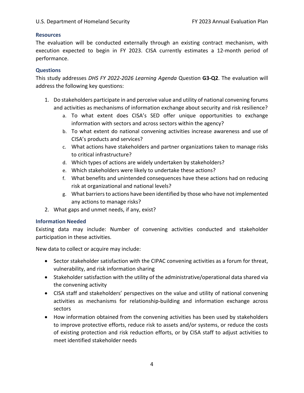#### <span id="page-7-0"></span>**Resources**

 The evaluation will be conducted externally through an existing contract mechanism, with execution expected to begin in FY 2023. CISA currently estimates a 12-month period of performance.

#### **Questions**

  This study addresses *DHS FY 2022‐2026 Learning Agenda* Question **G3‐Q2**. The evaluation will address the following key questions:

- 1. Do stakeholders participate in and perceive value and utility of national convening forums and activities as mechanisms of information exchange about security and risk resilience?
	- a. To what extent does CISA's SED offer unique opportunities to exchange information with sectors and across sectors within the agency?
	- b. To what extent do national convening activities increase awareness and use of CISA's products and services?
	- c. What actions have stakeholders and partner organizations taken to manage risks to critical infrastructure?
	- d. Which types of actions are widely undertaken by stakeholders?
	- e. Which stakeholders were likely to undertake these actions?
	- f. What benefits and unintended consequences have these actions had on reducing risk at organizational and national levels?
	- g. What barriersto actions have been identified by those who have not implemented any actions to manage risks?
- 2. What gaps and unmet needs, if any, exist?

#### **Information Needed**

 Existing data may include: Number of convening activities conducted and stakeholder participation in these activities.

New data to collect or acquire may include:

- Sector stakeholder satisfaction with the CIPAC convening activities as a forum for threat, vulnerability, and risk information sharing
- Stakeholder satisfaction with the utility of the administrative/operational data shared via the convening activity
- CISA staff and stakeholders' perspectives on the value and utility of national convening activities as mechanisms for relationship‐building and information exchange across sectors
- How information obtained from the convening activities has been used by stakeholders to improve protective efforts, reduce risk to assets and/or systems, or reduce the costs of existing protection and risk reduction efforts, or by CISA staff to adjust activities to meet identified stakeholder needs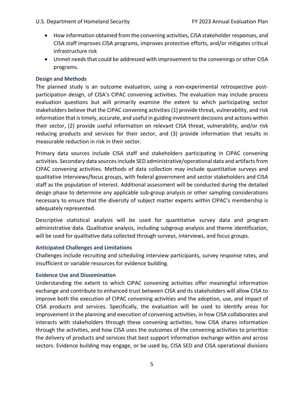- <span id="page-8-0"></span> How information obtained from the convening activities, CISA stakeholder responses, and CISA staff improves CISA programs, improves protective efforts, and/or mitigates critical infrastructure risk
- Unmet needs that could be addressed with improvement to the convenings or other CISA programs.

#### **Design and Methods**

 The planned study is an outcome evaluation, using a non‐experimental retrospective post‐ participation design, of CISA's CIPAC convening activities. The evaluation may include process evaluation questions but will primarily examine the extent to which participating sector stakeholders believe that the CIPAC convening activities (1) provide threat, vulnerability, and risk information that is timely, accurate, and useful in guiding investment decisions and actions within their sector, (2) provide useful information on relevant CISA threat, vulnerability, and/or risk reducing products and services for their sector, and (3) provide information that results in measurable reduction in risk in their sector.

 Primary data sources include CISA staff and stakeholders participating in CIPAC convening activities. Secondary data sources include SED administrative/operational data and artifacts from CIPAC convening activities. Methods of data collection may include quantitative surveys and qualitative interviews/focus groups, with federal government and sector stakeholders and CISA staff as the population of interest. Additional assessment will be conducted during the detailed design phase to determine any applicable sub‐group analysis or other sampling considerations necessary to ensure that the diversity of subject matter experts within CIPAC's membership is adequately represented.

 Descriptive statistical analysis will be used for quantitative survey data and program administrative data. Qualitative analysis, including subgroup analysis and theme identification, will be used for qualitative data collected through surveys, interviews, and focus groups.

#### **Anticipated Challenges and Limitations**

 Challenges include recruiting and scheduling interview participants, survey response rates, and insufficient or variable resources for evidence building.

#### **Evidence Use and Dissemination**

 Understanding the extent to which CIPAC convening activities offer meaningful information exchange and contribute to enhanced trust between CISA and its stakeholders will allow CISA to improve both the execution of CIPAC convening activities and the adoption, use, and impact of CISA products and services. Specifically, the evaluation will be used to identify areas for improvement in the planning and execution of convening activities, in how CISA collaborates and interacts with stakeholders through these convening activities, how CISA shares information through the activities, and how CISA uses the outcomes of the convening activities to prioritize the delivery of products and services that best support information exchange within and across sectors. Evidence building may engage, or be used by, CISA SED and CISA operational divisions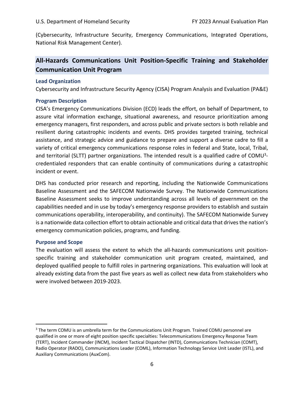<span id="page-9-0"></span> (Cybersecurity, Infrastructure Security, Emergency Communications, Integrated Operations, National Risk Management Center).

## **All‐Hazards Communications Unit Position‐Specific Training and Stakeholder Communication Unit Program**

#### **Lead Organization**

Cybersecurity and Infrastructure Security Agency (CISA) Program Analysis and Evaluation (PA&E)

#### **Program Description**

 CISA's Emergency Communications Division (ECD) leads the effort, on behalf of Department, to assure vital information exchange, situational awareness, and resource prioritization among emergency managers, first responders, and across public and private sectors is both reliable and resilient during catastrophic incidents and events. DHS provides targeted training, technical assistance, and strategic advice and guidance to prepare and support a diverse cadre to fill a variety of critical emergency communications response roles in federal and State, local, Tribal, and territorial (SLTT) partner organizations. The intended result is a qualified cadre of COMU<sup>3</sup>- credentialed responders that can enable continuity of communications during a catastrophic incident or event.

 DHS has conducted prior research and reporting, including the Nationwide Communications Baseline Assessment and the SAFECOM Nationwide Survey. The Nationwide Communications Baseline Assessment seeks to improve understanding across all levels of government on the capabilities needed and in use by today's emergency response providers to establish and sustain communications operability, interoperability, and continuity). The SAFECOM Nationwide Survey is a nationwide data collection effort to obtain actionable and critical data that drives the nation's emergency communication policies, programs, and funding.

#### **Purpose and Scope**

 The evaluation will assess the extent to which the all‐hazards communications unit position‐ specific training and stakeholder communication unit program created, maintained, and deployed qualified people to fulfill roles in partnering organizations. This evaluation will look at already existing data from the past five years as well as collect new data from stakeholders who were involved between 2019‐2023.

 $3$  The term COMU is an umbrella term for the Communications Unit Program. Trained COMU personnel are qualified in one or more of eight position specific specialties: Telecommunications Emergency Response Team (TERT), Incident Commander (INCM), Incident Tactical Dispatcher (INTD), Communications Technician (COMT), Radio Operator (RADO), Communications Leader (COML), Information Technology Service Unit Leader (ISTL), and Auxiliary Communications (AuxCom).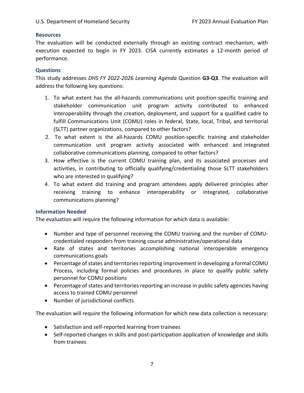#### <span id="page-10-0"></span>**Resources**

 The evaluation will be conducted externally through an existing contract mechanism, with execution expected to begin in FY 2023. CISA currently estimates a 12-month period of performance.

#### **Questions**

  This study addresses *DHS FY 2022‐2026 Learning Agenda* Question **G3‐Q3**. The evaluation will address the following key questions:

- 1. To what extent has the all-hazards communications unit position-specific training and stakeholder communication unit program activity contributed to enhanced interoperability through the creation, deployment, and suppor stakeholder communication unit program activity contributed to enhanced interoperability through the creation, deployment, and support for a qualified cadre to Unit (COMU) roles in federal, State, local, Tribal, and territorial (SLTT) partner organizations, compared to other factors?
- 2. To what extent is the all‐hazards COMU position‐specific training and stakeholder communication unit program activity associated with enhanced and integrated collaborative communications planning, compared to other factors?
- effective is the current COMU training plan, and its associated processes and 3. How effective is the current COMU training plan, and its associated processes and<br>activities, in contributing to officially qualifying/credentialing those SLTT stakeholders who are interested in qualifying?
- 4. To what extent did training and program attendees apply delivered principles after<br>receiving training to enhance interoperability or integrated, collaborative training to enhance interoperability or communications planning?

#### **Information Needed**

The evaluation will require the following information for which data is available:

- Number and type of personnel receiving the COMU training and the number of COMU‐ credentialed responders from training course administrative/operational data
- Rate of states and territories accomplishing national interoperable emergency communications goals
- Percentage of states and territories reporting improvement in developing a formal COMU Process, including formal policies and procedures in place to qualify public safety<br>personnel forCOMU positions personnel for COMU positions
- Percentage of states and territories reporting an increase in public safety agencies having<br>access to trained COMU personnel to trained COMU personnel
- Number of jurisdictional conflicts

The evaluation will require the following information for which new data collection is necessary:

- Satisfaction and self-reported learning from trainees
- Self-reported changes in skills and post-participation application of knowledge and skills from trainees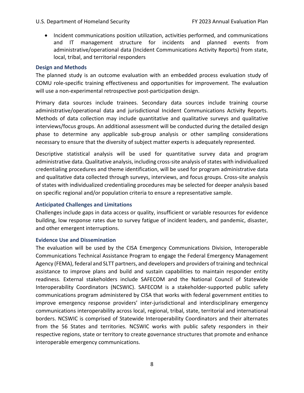<span id="page-11-0"></span> Incident communications position utilization, activities performed, and communications and IT management structure for incidents and planned events from administrative/operational data (Incident Communications Activity Reports) from state, local, tribal, and territorial responders planned events from

#### **Design and Methods**

 The planned study is an outcome evaluation with an embedded process evaluation study of COMU role‐specific training effectiveness and opportunities for improvement. The evaluation will use a non‐experimental retrospective post‐participation design.

 Primary data sources include trainees. Secondary data sources include training course administrative/operational data and jurisdictional Incident Communications Activity Reports. Methods of data collection may include quantitative and qualitative surveys and qualitative interviews/focus groups. An additional assessment will be conducted during the detailed design phase to determine any applicable sub‐group analysis or other sampling considerations necessary to ensure that the diversity of subject matter experts is adequately represented.

 Descriptive statistical analysis will be used for quantitative survey data and program administrative data. Qualitative analysis, including cross-site analysis of states with individualized credentialing procedures and theme identification, will be used for program administrative data and qualitative data collected through surveys, interviews, and focus groups. Cross‐site analysis of states with individualized credentialing procedures may be selected for deeper analysis based on specific regional and/or population criteria to ensure a representative sample.

#### **Anticipated Challenges and Limitations**

 Challenges include gaps in data access or quality, insufficient or variable resources for evidence building, low response rates due to survey fatigue of incident leaders, and pandemic, disaster, and other emergent interruptions.

#### **Evidence Use and Dissemination**

 The evaluation will be used by the CISA Emergency Communications Division, Interoperable Communications Technical Assistance Program to engage the Federal Emergency Management Agency (FEMA), federal and SLTT partners, and developers and providers of training and technical assistance to improve plans and build and sustain capabilities to maintain responder entity readiness. External stakeholders include SAFECOM and the National Council of Statewide Interoperability Coordinators (NCSWIC). SAFECOM is a stakeholder‐supported public safety communications program administered by CISA that works with federal government entities to improve emergency response providers' inter‐jurisdictional and interdisciplinary emergency communications interoperability across local, regional, tribal, state, territorial and international borders. NCSWIC is comprised of Statewide Interoperability Coordinators and their alternates from the 56 States and territories. NCSWIC works with public safety responders in their respective regions, state or territory to create governance structures that promote and enhance interoperable emergency communications.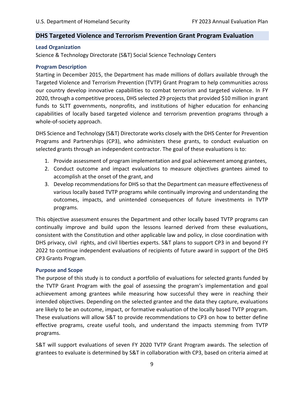#### <span id="page-12-0"></span> **DHS Targeted Violence and Terrorism Prevention Grant Program Evaluation**

#### **Lead Organization**

Science & Technology Directorate (S&T) Social Science Technology Centers

#### **Program Description**

 Starting in December 2015, the Department has made millions of dollars available through the Targeted Violence and Terrorism Prevention (TVTP) Grant Program to help communities across our country develop innovative capabilities to combat terrorism and targeted violence. In FY 2020, through a competitive process, DHS selected 29 projects that provided \$10 million in grant funds to SLTT governments, nonprofits, and institutions of higher education for enhancing capabilities of locally based targeted violence and terrorism prevention programs through a whole‐of‐society approach.

 DHS Science and Technology (S&T) Directorate works closely with the DHS Center for Prevention Programs and Partnerships (CP3), who administers these grants, to conduct evaluation on selected grants through an independent contractor. The goal of these evaluations is to:

- 1. Provide assessment of program implementation and goal achievement among grantees,
- 2. Conduct outcome and impact evaluations to measure objectives grantees aimed to accomplish at the onset of the grant, and
- 3. Develop recommendations for DHS so that the Department can measure effectiveness of various locally based TVTP programs while continually improving and understanding the outcomes, impacts, and unintended consequences of future investments in TVTP programs.

 This objective assessment ensures the Department and other locally based TVTP programs can continually improve and build upon the lessons learned derived from these evaluations, consistent with the Constitution and other applicable law and policy, in close coordination with DHS privacy, civil rights, and civil liberties experts. S&T plans to support CP3 in and beyond FY 2022 to continue independent evaluations of recipients of future award in support of the DHS CP3 Grants Program.

#### **Purpose and Scope**

 The purpose of this study is to conduct a portfolio of evaluations for selected grants funded by the TVTP Grant Program with the goal of assessing the program's implementation and goal achievement among grantees while measuring how successful they were in reaching their intended objectives. Depending on the selected grantee and the data they capture, evaluations are likely to be an outcome, impact, or formative evaluation of the locally based TVTP program. These evaluations will allow S&T to provide recommendations to CP3 on how to better define effective programs, create useful tools, and understand the impacts stemming from TVTP programs.

 S&T will support evaluations of seven FY 2020 TVTP Grant Program awards. The selection of grantees to evaluate is determined by S&T in collaboration with CP3, based on criteria aimed at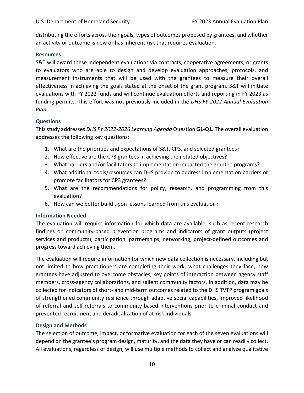<span id="page-13-0"></span> distributing the efforts across their goals, types of outcomes proposed by grantees, and whether an activity or outcome is new or has inherent risk that requires evaluation.

#### **Resources**

 S&T will award these independent evaluations via contracts, cooperative agreements, or grants to evaluators who are able to design and develop evaluation approaches, protocols, and measurement instruments that will be used with the grantees to measure their overall effectiveness in achieving the goals stated at the onset of the grant program. S&T will initiate evaluations with FY 2022 funds and will continue evaluation efforts and reporting in FY 2023 as  funding permits. This effort was not previously included in the *DHS FY 2022 Annual Evaluation Plan.*

#### **Questions**

  Thisstudy addresses *DHS FY 2022‐2026 Learning Agenda* Question **G1‐Q1.** The overall evaluation addresses the following key questions:

- 1. What are the priorities and expectations of S&T, CP3, and selected grantees?
- 2. How effective are the CP3 grantees in achieving their stated objectives?
- 3. What barriers and/or facilitators to implementation impacted the grantee programs?
- 4. What additional tools/resources can DHS provide to address implementation barriers or promote facilitators for CP3 grantees?
- 5. What are the recommendations for policy, research, and programming from this evaluation?
- 6. How can we better build upon lessons learned from this evaluation?

#### **Information Needed**

 The evaluation will require information for which data are available, such as recent research findings on community‐based prevention programs and indicators of grant outputs (project services and products), participation, partnerships, networking, project‐defined outcomes and progress toward achieving them.

 The evaluation will require information for which new data collection is necessary, including but not limited to how practitioners are completing their work, what challenges they face, how grantees have adjusted to overcome obstacles, key points of interaction between agency staff members, cross‐agency collaborations, and salient community factors. In addition, data may be collected for indicators of short‐ and mid‐term outcomes related to the DHS TVTP program goals of strengthened community resilience through adaptive social capabilities, improved likelihood of referral and self‐referrals to community‐based interventions prior to criminal conduct and prevented recruitment and deradicalization of at‐risk individuals.

#### **Design and Methods**

 The selection of outcome, impact, or formative evaluation for each of the seven evaluations will depend on the grantee's program design, maturity, and the data they have or can readily collect. All evaluations, regardless of design, will use multiple methods to collect and analyze qualitative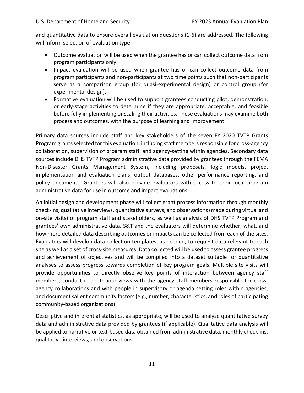and quantitative data to ensure overall evaluation questions (1‐6) are addressed. The following will inform selection of evaluation type:

- Outcome evaluation will be used when the grantee has or can collect outcome data from program participants only.
- Impact evaluation will be used when grantee has or can collect outcome data from program participants and non‐participants at two time points such that non‐participants serve as a comparison group (for quasi‐experimental design) or control group (for experimental design).
- Formative evaluation will be used to support grantees conducting pilot, demonstration, or early‐stage activities to determine if they are appropriate, acceptable, and feasible before fully implementing or scaling their activities. These evaluations may examine both process and outcomes, with the purpose of learning and improvement.

 Primary data sources include staff and key stakeholders of the seven FY 2020 TVTP Grants Program grants selected for this evaluation, including staff members responsible for cross-agency collaboration, supervision of program staff, and agency‐setting within agencies. Secondary data sources include DHS TVTP Program administrative data provided by grantees through the FEMA Non‐Disaster Grants Management System, including proposals, logic models, project implementation and evaluation plans, output databases, other performance reporting, and policy documents. Grantees will also provide evaluators with access to their local program administrative data for use in outcome and impact evaluations.

 An initial design and development phase will collect grant process information through monthly check‐ins, qualitative interviews, quantitative surveys, and observations(made during virtual and on‐site visits) of program staff and stakeholders, as well as analysis of DHS TVTP Program and grantees' own administrative data. S&T and the evaluators will determine whether, what, and how more detailed data describing outcomes or impacts can be collected from each of the sites. Evaluators will develop data collection templates, as needed, to request data relevant to each site as well as a set of cross‐site measures. Data collected will be used to assess grantee progress and achievement of objectives and will be compiled into a dataset suitable for quantitative analyses to assess progress towards completion of key program goals. Multiple site visits will provide opportunities to directly observe key points of interaction between agency staff members, conduct in‐depth interviews with the agency staff members responsible for cross‐ agency collaborations and with people in supervisory or agenda setting roles within agencies, and document salient community factors (e.g., number, characteristics, and roles of participating community‐based organizations).

 Descriptive and inferential statistics, as appropriate, will be used to analyze quantitative survey data and administrative data provided by grantees (if applicable). Qualitative data analysis will be applied to narrative or text‐based data obtained from administrative data, monthly check‐ins, qualitative interviews, and observations.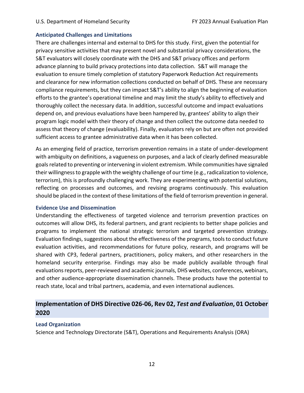#### <span id="page-15-0"></span> **Anticipated Challenges and Limitations**

 There are challenges internal and external to DHS for this study. First, given the potential for privacy sensitive activities that may present novel and substantial privacy considerations, the S&T evaluators will closely coordinate with the DHS and S&T privacy offices and perform advance planning to build privacy protections into data collection. S&T will manage the evaluation to ensure timely completion of statutory Paperwork Reduction Act requirements and clearance for new information collections conducted on behalf of DHS. These are necessary compliance requirements, but they can impact S&T's ability to align the beginning of evaluation efforts to the grantee's operational timeline and may limit the study's ability to effectively and thoroughly collect the necessary data. In addition, successful outcome and impact evaluations depend on, and previous evaluations have been hampered by, grantees' ability to align their program logic model with their theory of change and then collect the outcome data needed to assess that theory of change (evaluability). Finally, evaluators rely on but are often not provided sufficient access to grantee administrative data when it has been collected.

 As an emerging field of practice, terrorism prevention remains in a state of under‐development with ambiguity on definitions, a vagueness on purposes, and a lack of clearly defined measurable goals related to preventing or intervening in violent extremism. While communities have signaled their willingness to grapple with the weighty challenge of our time (e.g., radicalization to violence, terrorism), this is profoundly challenging work. They are experimenting with potential solutions, reflecting on processes and outcomes, and revising programs continuously. This evaluation should be placed in the context of these limitations of the field of terrorism prevention in general.

#### **Evidence Use and Dissemination**

 Understanding the effectiveness of targeted violence and terrorism prevention practices on outcomes will allow DHS, its federal partners, and grant recipients to better shape policies and programs to implement the national strategic terrorism and targeted prevention strategy. Evaluation findings, suggestions about the effectiveness of the programs, tools to conduct future evaluation activities, and recommendations for future policy, research, and programs will be shared with CP3, federal partners, practitioners, policy makers, and other researchers in the homeland security enterprise. Findings may also be made publicly available through final evaluations reports, peer-reviewed and academic journals, DHS websites, conferences, webinars, and other audience‐appropriate dissemination channels. These products have the potential to reach state, local and tribal partners, academia, and even international audiences.

## Implementation of DHS Directive 026-06, Rev 02, Test and Evaluation, 01 October  **2020**

#### **Lead Organization**

Science and Technology Directorate (S&T), Operations and Requirements Analysis (ORA)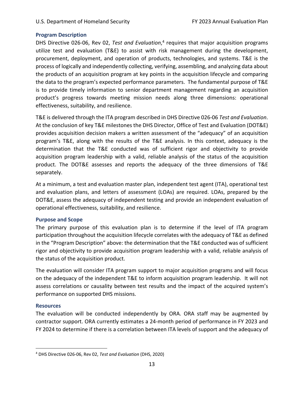#### <span id="page-16-0"></span> **Program Description**

DHS Directive 026-06, Rev 02, Test and Evaluation,<sup>4</sup> requires that major acquisition programs utilize test and evaluation (T&E) to assist with risk management during the development, procurement, deployment, and operation of products, technologies, and systems. T&E is the process of logically and independently collecting, verifying, assembling, and analyzing data about the products of an acquisition program at key points in the acquisition lifecycle and comparing the data to the program's expected performance parameters. The fundamental purpose of T&E is to provide timely information to senior department management regarding an acquisition product's progress towards meeting mission needs along three dimensions: operational effectiveness, suitability, and resilience.

  T&E is delivered through the ITA program described in DHS Directive 026‐06 *Test and Evaluation*. At the conclusion of key T&E milestones the DHS Director, Office of Test and Evaluation (DOT&E) provides acquisition decision makers a written assessment of the "adequacy" of an acquisition program's T&E, along with the results of the T&E analysis. In this context, adequacy is the determination that the T&E conducted was of sufficient rigor and objectivity to provide acquisition program leadership with a valid, reliable analysis of the status of the acquisition product. The DOT&E assesses and reports the adequacy of the three dimensions of T&E separately.

 At a minimum, a test and evaluation master plan, independent test agent (ITA), operational test and evaluation plans, and letters of assessment (LOAs) are required. LOAs, prepared by the DOT&E, assess the adequacy of independent testing and provide an independent evaluation of operational effectiveness, suitability, and resilience.

#### **Purpose and Scope**

 The primary purpose of this evaluation plan is to determine if the level of ITA program participation throughout the acquisition lifecycle correlates with the adequacy of T&E as defined in the "Program Description" above: the determination that the T&E conducted was of sufficient rigor and objectivity to provide acquisition program leadership with a valid, reliable analysis of the status of the acquisition product.

 The evaluation will consider ITA program support to major acquisition programs and will focus on the adequacy of the independent T&E to inform acquisition program leadership. It will not assess correlations or causality between test results and the impact of the acquired system's performance on supported DHS missions.

#### **Resources**

 The evaluation will be conducted independently by ORA. ORA staff may be augmented by contractor support. ORA currently estimates a 24‐month period of performance in FY 2023 and FY 2024 to determine if there is a correlation between ITA levels of support and the adequacy of

  <sup>4</sup> DHS Directive 026‐06, Rev 02, *Test and Evaluation* (DHS, 2020)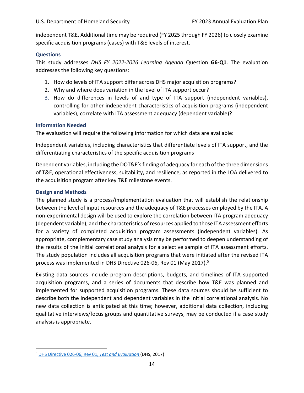<span id="page-17-0"></span> independent T&E. Additional time may be required (FY 2025 through FY 2026) to closely examine specific acquisition programs (cases) with T&E levels of interest.

#### **Questions**

  This study addresses *DHS FY 2022‐2026 Learning Agenda* Question **G6‐Q1**. The evaluation addresses the following key questions:

- 1. How do levels of ITA support differ across DHS major acquisition programs?
- 2. Why and where does variation in the level of ITA support occur?
- 3. How do differences in levels of and type of ITA support (independent variables), controlling for other independent characteristics of acquisition programs (independent variables), correlate with ITA assessment adequacy (dependent variable)?

#### **Information Needed**

 The evaluation will require the following information for which data are available:

 Independent variables, including characteristics that differentiate levels of ITA support, and the differentiating characteristics of the specific acquisition programs

 Dependent variables, including the DOT&E'sfinding of adequacy for each of the three dimensions of T&E, operational effectiveness, suitability, and resilience, as reported in the LOA delivered to the acquisition program after key T&E milestone events.

#### **Design and Methods**

 The planned study is a process/implementation evaluation that will establish the relationship between the level of input resources and the adequacy of T&E processes employed by the ITA. A non‐experimental design will be used to explore the correlation between ITA program adequacy (dependent variable), and the characteristics of resources applied to those ITA assessment efforts for a variety of completed acquisition program assessments (independent variables). As appropriate, complementary case study analysis may be performed to deepen understanding of the results of the initial correlational analysis for a selective sample of ITA assessment efforts. The study population includes all acquisition programs that were initiated after the revised ITA process was implemented in DHS Directive 026-06, Rev 01 (May 2017).<sup>5</sup>

 Existing data sources include program descriptions, budgets, and timelines of ITA supported acquisition programs, and a series of documents that describe how T&E was planned and implemented for supported acquisition programs. These data sources should be sufficient to describe both the independent and dependent variables in the initial correlational analysis. No new data collection is anticipated at this time; however, additional data collection, including qualitative interviews/focus groups and quantitative surveys, may be conducted if a case study analysis is appropriate.

  <sup>5</sup> DHS Directive 026‐06, Rev 01, *Test and Evaluation* (DHS, 2017)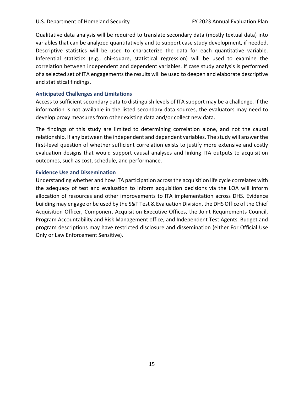<span id="page-18-0"></span> Qualitative data analysis will be required to translate secondary data (mostly textual data) into variables that can be analyzed quantitatively and to support case study development, if needed. Descriptive statistics will be used to characterize the data for each quantitative variable. Inferential statistics (e.g., chi‐square, statistical regression) will be used to examine the correlation between independent and dependent variables. If case study analysis is performed of a selected set of ITA engagements the results will be used to deepen and elaborate descriptive and statistical findings.

#### **Anticipated Challenges and Limitations**

 Access to sufficient secondary data to distinguish levels of ITA support may be a challenge. If the information is not available in the listed secondary data sources, the evaluators may need to develop proxy measures from other existing data and/or collect new data.

 The findings of this study are limited to determining correlation alone, and not the causal relationship, if any between the independent and dependent variables. The study will answer the first‐level question of whether sufficient correlation exists to justify more extensive and costly evaluation designs that would support causal analyses and linking ITA outputs to acquisition outcomes, such as cost, schedule, and performance.

#### **Evidence Use and Dissemination**

 Understanding whether and how ITA participation acrossthe acquisition life cycle correlates with the adequacy of test and evaluation to inform acquisition decisions via the LOA will inform allocation of resources and other improvements to ITA implementation across DHS. Evidence building may engage or be used by the S&T Test & Evaluation Division, the DHS Office of the Chief Acquisition Officer, Component Acquisition Executive Offices, the Joint Requirements Council, Program Accountability and Risk Management office, and Independent Test Agents. Budget and program descriptions may have restricted disclosure and dissemination (either For Official Use Only or Law Enforcement Sensitive).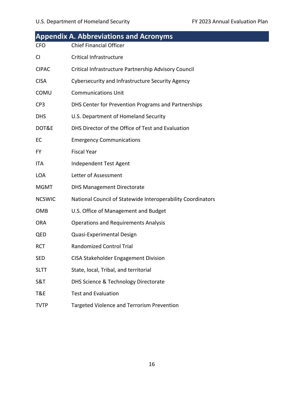<span id="page-19-0"></span>

|                 | <b>Appendix A. Abbreviations and Acronyms</b>               |
|-----------------|-------------------------------------------------------------|
| <b>CFO</b>      | <b>Chief Financial Officer</b>                              |
| <b>CI</b>       | Critical Infrastructure                                     |
| <b>CIPAC</b>    | Critical Infrastructure Partnership Advisory Council        |
| <b>CISA</b>     | <b>Cybersecurity and Infrastructure Security Agency</b>     |
| <b>COMU</b>     | <b>Communications Unit</b>                                  |
| CP <sub>3</sub> | DHS Center for Prevention Programs and Partnerships         |
| <b>DHS</b>      | U.S. Department of Homeland Security                        |
| DOT&E           | DHS Director of the Office of Test and Evaluation           |
| EC              | <b>Emergency Communications</b>                             |
| FY.             | <b>Fiscal Year</b>                                          |
| ITA             | Independent Test Agent                                      |
| <b>LOA</b>      | Letter of Assessment                                        |
| <b>MGMT</b>     | <b>DHS Management Directorate</b>                           |
| <b>NCSWIC</b>   | National Council of Statewide Interoperability Coordinators |
| <b>OMB</b>      | U.S. Office of Management and Budget                        |
| <b>ORA</b>      | <b>Operations and Requirements Analysis</b>                 |
| QED             | Quasi-Experimental Design                                   |
| <b>RCT</b>      | <b>Randomized Control Trial</b>                             |
| <b>SED</b>      | <b>CISA Stakeholder Engagement Division</b>                 |
| <b>SLTT</b>     | State, local, Tribal, and territorial                       |
| S&T             | DHS Science & Technology Directorate                        |
| T&E             | <b>Test and Evaluation</b>                                  |
| <b>TVTP</b>     | <b>Targeted Violence and Terrorism Prevention</b>           |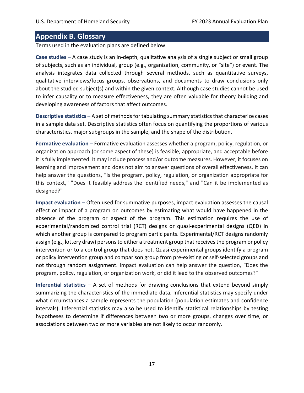## <span id="page-20-0"></span> **Appendix B. Glossary**

Terms used in the evaluation plans are defined below.

 **Case studies** – A case study is an in‐depth, qualitative analysis of a single subject or small group of subjects, such as an individual, group (e.g., organization, community, or "site") or event. The analysis integrates data collected through several methods, such as quantitative surveys, qualitative interviews/focus groups, observations, and documents to draw conclusions only about the studied subject(s) and within the given context. Although case studies cannot be used to infer causality or to measure effectiveness, they are often valuable for theory building and developing awareness of factors that affect outcomes.

Descriptive statistics - A set of methods for tabulating summary statistics that characterize cases in a sample data set. Descriptive statistics often focus on quantifying the proportions of various characteristics, major subgroups in the sample, and the shape of the distribution.

 **Formative evaluation** – Formative evaluation assesses whether a program, policy, regulation, or organization approach (or some aspect of these) is feasible, appropriate, and acceptable before it is fully implemented. It may include process and/or outcome measures. However, it focuses on learning and improvement and does not aim to answer questions of overall effectiveness. It can help answer the questions, "Is the program, policy, regulation, or organization appropriate for this context," "Does it feasibly address the identified needs," and "Can it be implemented as designed?"

 **Impact evaluation** – Often used for summative purposes, impact evaluation assesses the causal effect or impact of a program on outcomes by estimating what would have happened in the absence of the program or aspect of the program. This estimation requires the use of experimental/randomized control trial (RCT) designs or quasi‐experimental designs (QED) in which another group is compared to program participants. Experimental/RCT designs randomly assign (e.g., lottery draw) persons to either a treatment group that receives the program or policy intervention or to a control group that does not. Quasi‐experimental groups identify a program or policy intervention group and comparison group from pre‐existing or self‐selected groups and not through random assignment. Impact evaluation can help answer the question, "Does the program, policy, regulation, or organization work, or did it lead to the observed outcomes?"

 **Inferential statistics** – A set of methods for drawing conclusions that extend beyond simply summarizing the characteristics of the immediate data. Inferential statistics may specify under what circumstances a sample represents the population (population estimates and confidence intervals). Inferential statistics may also be used to identify statistical relationships by testing hypotheses to determine if differences between two or more groups, changes over time, or associations between two or more variables are not likely to occur randomly.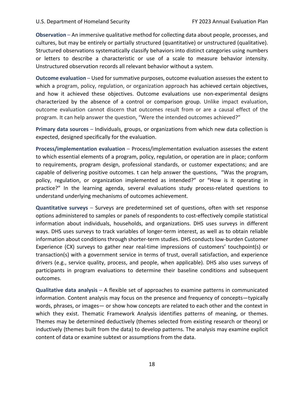**Observation** – An immersive qualitative method for collecting data about people, processes, and cultures, but may be entirely or partially structured (quantitative) or unstructured (qualitative). Structured observations systematically classify behaviors into distinct categories using numbers or letters to describe a characteristic or use of a scale to measure behavior intensity. Unstructured observation records all relevant behavior without a system.

Outcome evaluation - Used for summative purposes, outcome evaluation assesses the extent to which a program, policy, regulation, or organization approach has achieved certain objectives, and how it achieved these objectives. Outcome evaluations use non‐experimental designs characterized by the absence of a control or comparison group. Unlike impact evaluation, outcome evaluation cannot discern that outcomes result from or are a causal effect of the program. It can help answer the question, "Were the intended outcomes achieved?"

 **Primary data sources** – Individuals, groups, or organizations from which new data collection is expected, designed specifically for the evaluation.

 **Process/implementation evaluation** – Process/implementation evaluation assesses the extent to which essential elements of a program, policy, regulation, or operation are in place; conform to requirements, program design, professional standards, or customer expectations; and are capable of delivering positive outcomes. t can help answer the questions, "Was the program, policy, regulation, or organization implemented as intended?" or "How is it operating in practice?" In the learning agenda, several evaluations study process-related questions to understand underlying mechanisms of outcomes achievement.

 **Quantitative surveys** – Surveys are predetermined set of questions, often with set response options administered to samples or panels of respondents to cost‐effectively compile statistical information about individuals, households, and organizations. DHS uses surveys in different ways. DHS uses surveys to track variables of longer‐term interest, as well as to obtain reliable information about conditions through shorter‐term studies. DHS conducts low‐burden Customer Experience (CX) surveys to gather near real-time impressions of customers' touchpoint(s) or transaction(s) with a government service in terms of trust, overall satisfaction, and experience drivers (e.g., service quality, process, and people, when applicable). DHS also uses surveys of participants in program evaluations to determine their baseline conditions and subsequent outcomes.

 **Qualitative data analysis** – A flexible set of approaches to examine patterns in communicated information. Content analysis may focus on the presence and frequency of concepts—typically words, phrases, or images— or show how concepts are related to each other and the context in which they exist. Thematic Framework Analysis identifies patterns of meaning, or themes. Themes may be determined deductively (themes selected from existing research or theory) or inductively (themes built from the data) to develop patterns. The analysis may examine explicit content of data or examine subtext or assumptions from the data.